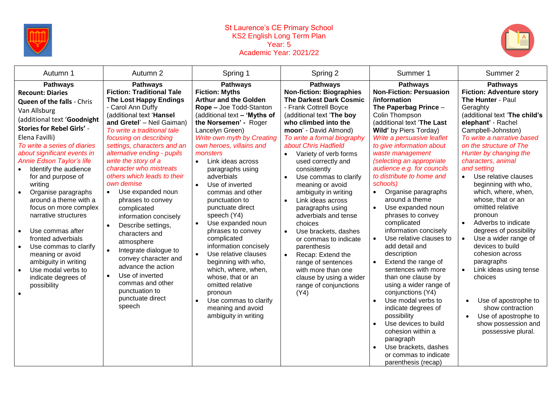

## St Laurence's CE Primary School KS2 English Long Term Plan Year: 5 Academic Year: 2021/22



| Autumn 1                                                                                                                                                                                                                                                                                                                                                                                                                                                                                                                                                                                                                                                       | Autumn 2                                                                                                                                                                                                                                                                                                                                                                                                                                                                                                                                                                                                                                                                                                                   | Spring 1                                                                                                                                                                                                                                                                                                                                                                                                                                                                                                                                                                                                                                                                                                             | Spring 2                                                                                                                                                                                                                                                                                                                                                                                                                                                                                                                                                                                                                                                         | Summer 1                                                                                                                                                                                                                                                                                                                                                                                                                                                                                                                                                                                                                                                                                                                                                                                                                                                                                                                                                   | Summer 2                                                                                                                                                                                                                                                                                                                                                                                                                                                                                                                                                                                                                                                                                                                                      |
|----------------------------------------------------------------------------------------------------------------------------------------------------------------------------------------------------------------------------------------------------------------------------------------------------------------------------------------------------------------------------------------------------------------------------------------------------------------------------------------------------------------------------------------------------------------------------------------------------------------------------------------------------------------|----------------------------------------------------------------------------------------------------------------------------------------------------------------------------------------------------------------------------------------------------------------------------------------------------------------------------------------------------------------------------------------------------------------------------------------------------------------------------------------------------------------------------------------------------------------------------------------------------------------------------------------------------------------------------------------------------------------------------|----------------------------------------------------------------------------------------------------------------------------------------------------------------------------------------------------------------------------------------------------------------------------------------------------------------------------------------------------------------------------------------------------------------------------------------------------------------------------------------------------------------------------------------------------------------------------------------------------------------------------------------------------------------------------------------------------------------------|------------------------------------------------------------------------------------------------------------------------------------------------------------------------------------------------------------------------------------------------------------------------------------------------------------------------------------------------------------------------------------------------------------------------------------------------------------------------------------------------------------------------------------------------------------------------------------------------------------------------------------------------------------------|------------------------------------------------------------------------------------------------------------------------------------------------------------------------------------------------------------------------------------------------------------------------------------------------------------------------------------------------------------------------------------------------------------------------------------------------------------------------------------------------------------------------------------------------------------------------------------------------------------------------------------------------------------------------------------------------------------------------------------------------------------------------------------------------------------------------------------------------------------------------------------------------------------------------------------------------------------|-----------------------------------------------------------------------------------------------------------------------------------------------------------------------------------------------------------------------------------------------------------------------------------------------------------------------------------------------------------------------------------------------------------------------------------------------------------------------------------------------------------------------------------------------------------------------------------------------------------------------------------------------------------------------------------------------------------------------------------------------|
| <b>Pathways</b><br><b>Recount: Diaries</b><br><b>Queen of the falls - Chris</b><br>Van Allsburg<br>(additional text 'Goodnight<br><b>Stories for Rebel Girls' -</b><br>Elena Favilli)<br>To write a series of diaries<br>about significant events in<br>Annie Edson Taylor's life<br>Identify the audience<br>for and purpose of<br>writing<br>Organise paragraphs<br>$\bullet$<br>around a theme with a<br>focus on more complex<br>narrative structures<br>Use commas after<br>$\bullet$<br>fronted adverbials<br>Use commas to clarify<br>$\bullet$<br>meaning or avoid<br>ambiguity in writing<br>Use modal verbs to<br>indicate degrees of<br>possibility | <b>Pathways</b><br><b>Fiction: Traditional Tale</b><br><b>The Lost Happy Endings</b><br>- Carol Ann Duffy<br>(additional text 'Hansel<br>and Gretel' - Neil Gaiman)<br>To write a traditional tale<br>focusing on describing<br>settings, characters and an<br>alternative ending - pupils<br>write the story of a<br>character who mistreats<br>others which leads to their<br>own demise<br>Use expanded noun<br>$\bullet$<br>phrases to convey<br>complicated<br>information concisely<br>Describe settings,<br>characters and<br>atmosphere<br>Integrate dialogue to<br>convey character and<br>advance the action<br>Use of inverted<br>$\bullet$<br>commas and other<br>punctuation to<br>punctuate direct<br>speech | <b>Pathways</b><br><b>Fiction: Myths</b><br><b>Arthur and the Golden</b><br>Rope - Joe Todd-Stanton<br>(additional text - 'Myths of<br>the Norsemen' - Roger<br>Lancelyn Green)<br>Write own myth by Creating<br>own heroes, villains and<br>monsters<br>Link ideas across<br>paragraphs using<br>adverbials<br>Use of inverted<br>$\bullet$<br>commas and other<br>punctuation to<br>punctuate direct<br>speech (Y4)<br>Use expanded noun<br>phrases to convey<br>complicated<br>information concisely<br>Use relative clauses<br>beginning with who,<br>which, where, when,<br>whose, that or an<br>omitted relative<br>pronoun<br>Use commas to clarify<br>$\bullet$<br>meaning and avoid<br>ambiguity in writing | <b>Pathways</b><br><b>Non-fiction: Biographies</b><br><b>The Darkest Dark Cosmic</b><br>- Frank Cottrell Boyce<br>(additional text 'The boy<br>who climbed into the<br>moon' - David Almond)<br>To write a formal biography<br>about Chris Hadfield<br>Variety of verb forms<br>used correctly and<br>consistently<br>Use commas to clarify<br>meaning or avoid<br>ambiguity in writing<br>Link ideas across<br>paragraphs using<br>adverbials and tense<br>choices<br>Use brackets, dashes<br>or commas to indicate<br>parenthesis<br>Recap: Extend the<br>range of sentences<br>with more than one<br>clause by using a wider<br>range of conjunctions<br>(Y4) | <b>Pathways</b><br><b>Non-Fiction: Persuasion</b><br>/information<br>The Paperbag Prince -<br>Colin Thompson<br>(additional text 'The Last<br>Wild' by Piers Torday)<br>Write a persuasive leaflet<br>to give information about<br>waste management<br>(selecting an appropriate<br>audience e.g. for councils<br>to distribute to home and<br>schools)<br>Organise paragraphs<br>$\bullet$<br>around a theme<br>Use expanded noun<br>$\bullet$<br>phrases to convey<br>complicated<br>information concisely<br>Use relative clauses to<br>$\bullet$<br>add detail and<br>description<br>Extend the range of<br>$\bullet$<br>sentences with more<br>than one clause by<br>using a wider range of<br>conjunctions (Y4)<br>Use modal verbs to<br>$\bullet$<br>indicate degrees of<br>possibility<br>Use devices to build<br>$\bullet$<br>cohesion within a<br>paragraph<br>Use brackets, dashes<br>$\bullet$<br>or commas to indicate<br>parenthesis (recap) | <b>Pathways</b><br><b>Fiction: Adventure story</b><br>The Hunter - Paul<br>Geraghty<br>(additional text 'The child's<br>elephant' - Rachel<br>Campbell-Johnston)<br>To write a narrative based<br>on the structure of The<br>Hunter by changing the<br>characters, animal<br>and setting<br>Use relative clauses<br>$\bullet$<br>beginning with who,<br>which, where, when,<br>whose, that or an<br>omitted relative<br>pronoun<br>Adverbs to indicate<br>$\bullet$<br>degrees of possibility<br>Use a wider range of<br>devices to build<br>cohesion across<br>paragraphs<br>Link ideas using tense<br>choices<br>Use of apostrophe to<br>$\bullet$<br>show contraction<br>Use of apostrophe to<br>show possession and<br>possessive plural. |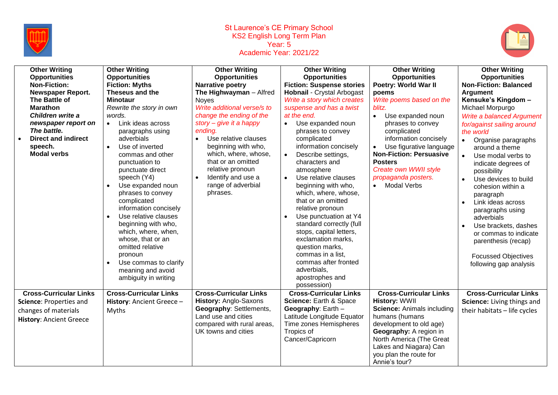

## St Laurence's CE Primary School KS2 English Long Term Plan Year: 5 Academic Year: 2021/22



| <b>Other Writing</b><br><b>Opportunities</b><br><b>Non-Fiction:</b><br>Newspaper Report.<br>The Battle of<br><b>Marathon</b><br>Children write a<br>newspaper report on<br>The battle.<br><b>Direct and indirect</b><br>speech.<br><b>Modal verbs</b> | <b>Other Writing</b><br><b>Opportunities</b><br><b>Fiction: Myths</b><br>Theseus and the<br><b>Minotaur</b><br>Rewrite the story in own<br>words.<br>Link ideas across<br>$\bullet$<br>paragraphs using<br>adverbials<br>Use of inverted<br>$\bullet$<br>commas and other<br>punctuation to<br>punctuate direct<br>speech (Y4)<br>Use expanded noun<br>$\bullet$<br>phrases to convey<br>complicated<br>information concisely<br>Use relative clauses<br>beginning with who,<br>which, where, when,<br>whose, that or an<br>omitted relative<br>pronoun<br>Use commas to clarify<br>meaning and avoid<br>ambiguity in writing | <b>Other Writing</b><br><b>Opportunities</b><br><b>Narrative poetry</b><br>The Highwayman - Alfred<br><b>Noyes</b><br>Write additional verse/s to<br>change the ending of the<br>story - give it a happy<br>ending.<br>Use relative clauses<br>$\bullet$<br>beginning with who,<br>which, where, whose,<br>that or an omitted<br>relative pronoun<br>Identify and use a<br>$\bullet$<br>range of adverbial<br>phrases. | <b>Other Writing</b><br><b>Opportunities</b><br><b>Fiction: Suspense stories</b><br><b>Hobnail - Crystal Arbogast</b><br>Write a story which creates<br>suspense and has a twist<br>at the end.<br>Use expanded noun<br>$\bullet$<br>phrases to convey<br>complicated<br>information concisely<br>Describe settings,<br>$\bullet$<br>characters and<br>atmosphere<br>Use relative clauses<br>$\bullet$<br>beginning with who,<br>which, where, whose,<br>that or an omitted<br>relative pronoun<br>Use punctuation at Y4<br>standard correctly (full<br>stops, capital letters,<br>exclamation marks,<br>question marks,<br>commas in a list,<br>commas after fronted<br>adverbials,<br>apostrophes and<br>possession) | <b>Other Writing</b><br><b>Opportunities</b><br>Poetry: World War II<br>poems<br>Write poems based on the<br>blitz.<br>Use expanded noun<br>$\bullet$<br>phrases to convey<br>complicated<br>information concisely<br>Use figurative language<br>$\bullet$<br><b>Non-Fiction: Persuasive</b><br><b>Posters</b><br>Create own WWII style<br>propaganda posters.<br>• Modal Verbs | <b>Other Writing</b><br><b>Opportunities</b><br><b>Non-Fiction: Balanced</b><br><b>Argument</b><br>Kensuke's Kingdom -<br>Michael Morpurgo<br>Write a balanced Argument<br>for/against sailing around<br>the world<br>Organise paragraphs<br>$\bullet$<br>around a theme<br>Use modal verbs to<br>$\bullet$<br>indicate degrees of<br>possibility<br>Use devices to build<br>cohesion within a<br>paragraph<br>Link ideas across<br>$\bullet$<br>paragraphs using<br>adverbials<br>Use brackets, dashes<br>or commas to indicate<br>parenthesis (recap)<br><b>Focussed Objectives</b><br>following gap analysis |
|-------------------------------------------------------------------------------------------------------------------------------------------------------------------------------------------------------------------------------------------------------|-------------------------------------------------------------------------------------------------------------------------------------------------------------------------------------------------------------------------------------------------------------------------------------------------------------------------------------------------------------------------------------------------------------------------------------------------------------------------------------------------------------------------------------------------------------------------------------------------------------------------------|------------------------------------------------------------------------------------------------------------------------------------------------------------------------------------------------------------------------------------------------------------------------------------------------------------------------------------------------------------------------------------------------------------------------|------------------------------------------------------------------------------------------------------------------------------------------------------------------------------------------------------------------------------------------------------------------------------------------------------------------------------------------------------------------------------------------------------------------------------------------------------------------------------------------------------------------------------------------------------------------------------------------------------------------------------------------------------------------------------------------------------------------------|---------------------------------------------------------------------------------------------------------------------------------------------------------------------------------------------------------------------------------------------------------------------------------------------------------------------------------------------------------------------------------|-----------------------------------------------------------------------------------------------------------------------------------------------------------------------------------------------------------------------------------------------------------------------------------------------------------------------------------------------------------------------------------------------------------------------------------------------------------------------------------------------------------------------------------------------------------------------------------------------------------------|
| <b>Cross-Curricular Links</b><br>Science: Properties and<br>changes of materials<br><b>History: Ancient Greece</b>                                                                                                                                    | <b>Cross-Curricular Links</b><br>History: Ancient Greece -<br>Myths                                                                                                                                                                                                                                                                                                                                                                                                                                                                                                                                                           | <b>Cross-Curricular Links</b><br>History: Anglo-Saxons<br><b>Geography: Settlements,</b><br>Land use and cities<br>compared with rural areas,<br>UK towns and cities                                                                                                                                                                                                                                                   | <b>Cross-Curricular Links</b><br>Science: Earth & Space<br>Geography: Earth -<br>Latitude Longitude Equator<br>Time zones Hemispheres<br>Tropics of<br>Cancer/Capricorn                                                                                                                                                                                                                                                                                                                                                                                                                                                                                                                                                | <b>Cross-Curricular Links</b><br><b>History: WWII</b><br><b>Science: Animals including</b><br>humans (humans<br>development to old age)<br>Geography: A region in<br>North America (The Great<br>Lakes and Niagara) Can<br>you plan the route for<br>Annie's tour?                                                                                                              | <b>Cross-Curricular Links</b><br>Science: Living things and<br>their habitats - life cycles                                                                                                                                                                                                                                                                                                                                                                                                                                                                                                                     |